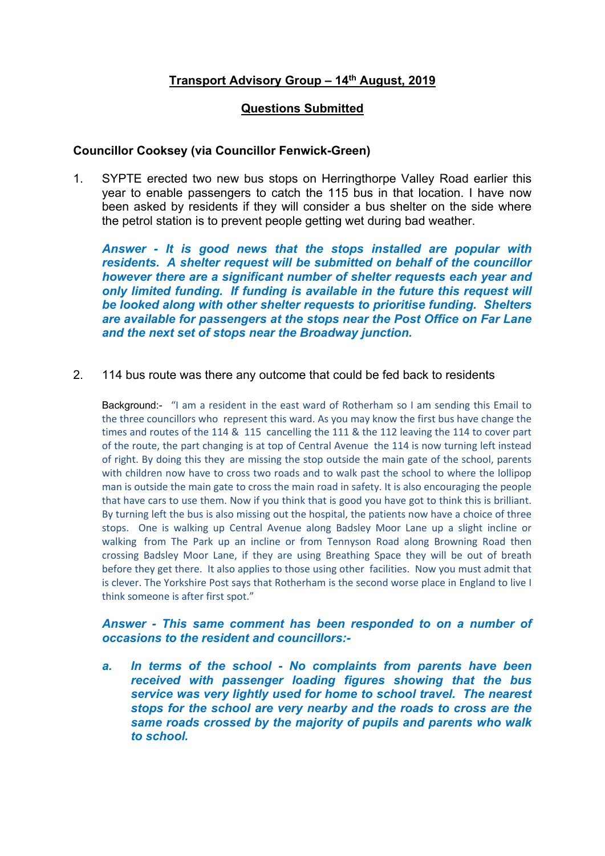## **Transport Advisory Group – 14th August, 2019**

## **Questions Submitted**

## **Councillor Cooksey (via Councillor Fenwick-Green)**

1. SYPTE erected two new bus stops on Herringthorpe Valley Road earlier this year to enable passengers to catch the 115 bus in that location. I have now been asked by residents if they will consider a bus shelter on the side where the petrol station is to prevent people getting wet during bad weather.

*Answer - It is good news that the stops installed are popular with residents. A shelter request will be submitted on behalf of the councillor however there are a significant number of shelter requests each year and only limited funding. If funding is available in the future this request will be looked along with other shelter requests to prioritise funding. Shelters are available for passengers at the stops near the Post Office on Far Lane and the next set of stops near the Broadway junction.*

2. 114 bus route was there any outcome that could be fed back to residents

Background:- "I am a resident in the east ward of Rotherham so I am sending this Email to the three councillors who represent this ward. As you may know the first bus have change the times and routes of the 114 & 115 cancelling the 111 & the 112 leaving the 114 to cover part of the route, the part changing is at top of Central Avenue the 114 is now turning left instead of right. By doing this they are missing the stop outside the main gate of the school, parents with children now have to cross two roads and to walk past the school to where the lollipop man is outside the main gate to cross the main road in safety. It is also encouraging the people that have cars to use them. Now if you think that is good you have got to think this is brilliant. By turning left the bus is also missing out the hospital, the patients now have a choice of three stops. One is walking up Central Avenue along Badsley Moor Lane up a slight incline or walking from The Park up an incline or from Tennyson Road along Browning Road then crossing Badsley Moor Lane, if they are using Breathing Space they will be out of breath before they get there. It also applies to those using other facilities. Now you must admit that is clever. The Yorkshire Post says that Rotherham is the second worse place in England to live I think someone is after first spot."

## *Answer - This same comment has been responded to on a number of occasions to the resident and councillors:-*

*a. In terms of the school - No complaints from parents have been received with passenger loading figures showing that the bus service was very lightly used for home to school travel. The nearest stops for the school are very nearby and the roads to cross are the same roads crossed by the majority of pupils and parents who walk to school.*